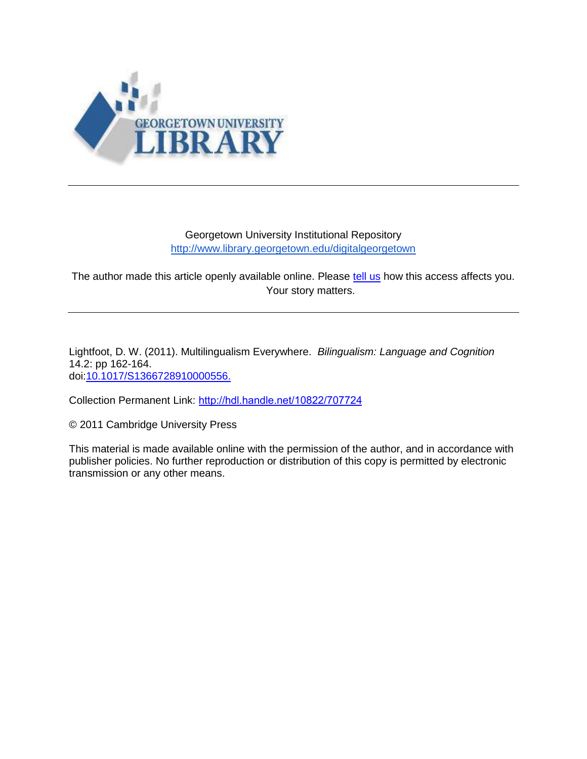

## Georgetown University Institutional Repository <http://www.library.georgetown.edu/digitalgeorgetown>

The author made this article openly available online. Please [tell us](https://www.library.georgetown.edu/ir/share-story) how this access affects you. Your story matters.

Lightfoot, D. W. (2011). Multilingualism Everywhere. *Bilingualism: Language and Cognition* 14.2: pp 162-164. doi[:10.1017/S1366728910000556.](http://journals.cambridge.org/action/displayAbstract?fromPage=online&aid=8243924)

Collection Permanent Link: <http://hdl.handle.net/10822/707724>

© 2011 Cambridge University Press

This material is made available online with the permission of the author, and in accordance with publisher policies. No further reproduction or distribution of this copy is permitted by electronic transmission or any other means.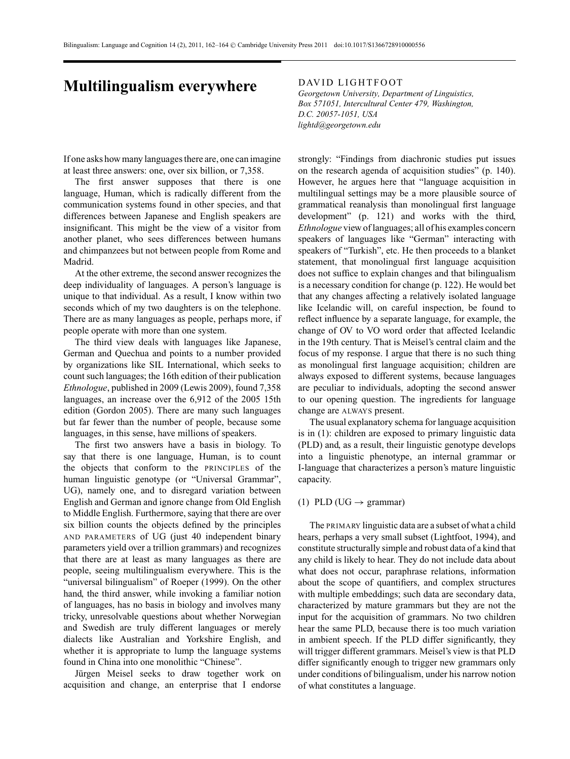## **Multilingualism everywhere** DAVID LIGHTFOOT

If one asks how many languages there are, one can imagine at least three answers: one, over six billion, or 7,358.

The first answer supposes that there is one language, Human, which is radically different from the communication systems found in other species, and that differences between Japanese and English speakers are insignificant. This might be the view of a visitor from another planet, who sees differences between humans and chimpanzees but not between people from Rome and Madrid.

At the other extreme, the second answer recognizes the deep individuality of languages. A person's language is unique to that individual. As a result, I know within two seconds which of my two daughters is on the telephone. There are as many languages as people, perhaps more, if people operate with more than one system.

The third view deals with languages like Japanese, German and Quechua and points to a number provided by organizations like SIL International, which seeks to count such languages; the 16th edition of their publication *Ethnologue*, published in 2009 (Lewis 2009), found 7,358 languages, an increase over the 6,912 of the 2005 15th edition (Gordon 2005). There are many such languages but far fewer than the number of people, because some languages, in this sense, have millions of speakers.

The first two answers have a basis in biology. To say that there is one language, Human, is to count the objects that conform to the PRINCIPLES of the human linguistic genotype (or "Universal Grammar", UG), namely one, and to disregard variation between English and German and ignore change from Old English to Middle English. Furthermore, saying that there are over six billion counts the objects defined by the principles AND PARAMETERS of UG (just 40 independent binary parameters yield over a trillion grammars) and recognizes that there are at least as many languages as there are people, seeing multilingualism everywhere. This is the "universal bilingualism" of Roeper (1999). On the other hand, the third answer, while invoking a familiar notion of languages, has no basis in biology and involves many tricky, unresolvable questions about whether Norwegian and Swedish are truly different languages or merely dialects like Australian and Yorkshire English, and whether it is appropriate to lump the language systems found in China into one monolithic "Chinese".

Jürgen Meisel seeks to draw together work on acquisition and change, an enterprise that I endorse *Georgetown University, Department of Linguistics, Box 571051, Intercultural Center 479, Washington, D.C. 20057-1051, USA lightd@georgetown.edu*

strongly: "Findings from diachronic studies put issues on the research agenda of acquisition studies" (p. 140). However, he argues here that "language acquisition in multilingual settings may be a more plausible source of grammatical reanalysis than monolingual first language development" (p. 121) and works with the third, *Ethnologue* view of languages; all of his examples concern speakers of languages like "German" interacting with speakers of "Turkish", etc. He then proceeds to a blanket statement, that monolingual first language acquisition does not suffice to explain changes and that bilingualism is a necessary condition for change (p. 122). He would bet that any changes affecting a relatively isolated language like Icelandic will, on careful inspection, be found to reflect influence by a separate language, for example, the change of OV to VO word order that affected Icelandic in the 19th century. That is Meisel's central claim and the focus of my response. I argue that there is no such thing as monolingual first language acquisition; children are always exposed to different systems, because languages are peculiar to individuals, adopting the second answer to our opening question. The ingredients for language change are ALWAYS present.

The usual explanatory schema for language acquisition is in (1): children are exposed to primary linguistic data (PLD) and, as a result, their linguistic genotype develops into a linguistic phenotype, an internal grammar or I-language that characterizes a person's mature linguistic capacity.

## (1) PLD (UG  $\rightarrow$  grammar)

The PRIMARY linguistic data are a subset of what a child hears, perhaps a very small subset (Lightfoot, 1994), and constitute structurally simple and robust data of a kind that any child is likely to hear. They do not include data about what does not occur, paraphrase relations, information about the scope of quantifiers, and complex structures with multiple embeddings; such data are secondary data, characterized by mature grammars but they are not the input for the acquisition of grammars. No two children hear the same PLD, because there is too much variation in ambient speech. If the PLD differ significantly, they will trigger different grammars. Meisel's view is that PLD differ significantly enough to trigger new grammars only under conditions of bilingualism, under his narrow notion of what constitutes a language.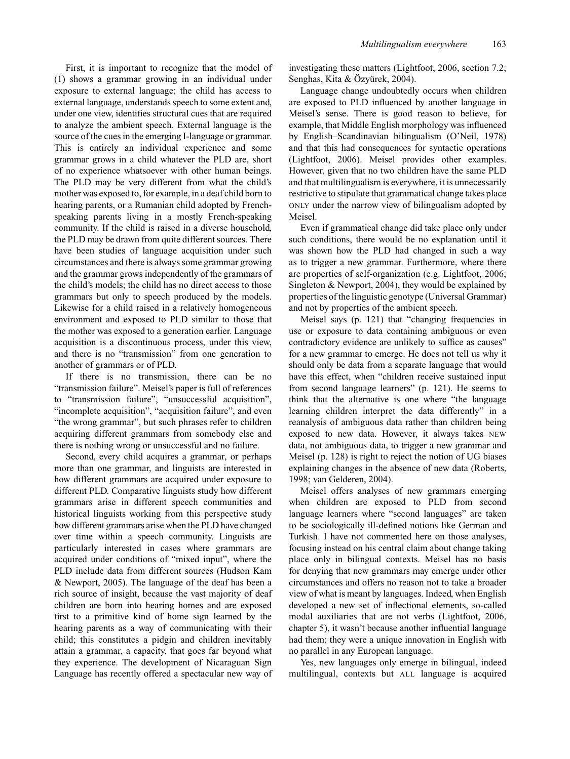First, it is important to recognize that the model of (1) shows a grammar growing in an individual under exposure to external language; the child has access to external language, understands speech to some extent and, under one view, identifies structural cues that are required to analyze the ambient speech. External language is the source of the cues in the emerging I-language or grammar. This is entirely an individual experience and some grammar grows in a child whatever the PLD are, short of no experience whatsoever with other human beings. The PLD may be very different from what the child's mother was exposed to, for example, in a deaf child born to hearing parents, or a Rumanian child adopted by Frenchspeaking parents living in a mostly French-speaking community. If the child is raised in a diverse household, the PLD may be drawn from quite different sources. There have been studies of language acquisition under such circumstances and there is always some grammar growing and the grammar grows independently of the grammars of the child's models; the child has no direct access to those grammars but only to speech produced by the models. Likewise for a child raised in a relatively homogeneous environment and exposed to PLD similar to those that the mother was exposed to a generation earlier. Language acquisition is a discontinuous process, under this view, and there is no "transmission" from one generation to another of grammars or of PLD.

If there is no transmission, there can be no "transmission failure". Meisel's paper is full of references to "transmission failure", "unsuccessful acquisition", "incomplete acquisition", "acquisition failure", and even "the wrong grammar", but such phrases refer to children acquiring different grammars from somebody else and there is nothing wrong or unsuccessful and no failure.

Second, every child acquires a grammar, or perhaps more than one grammar, and linguists are interested in how different grammars are acquired under exposure to different PLD. Comparative linguists study how different grammars arise in different speech communities and historical linguists working from this perspective study how different grammars arise when the PLD have changed over time within a speech community. Linguists are particularly interested in cases where grammars are acquired under conditions of "mixed input", where the PLD include data from different sources (Hudson Kam & Newport, 2005). The language of the deaf has been a rich source of insight, because the vast majority of deaf children are born into hearing homes and are exposed first to a primitive kind of home sign learned by the hearing parents as a way of communicating with their child; this constitutes a pidgin and children inevitably attain a grammar, a capacity, that goes far beyond what they experience. The development of Nicaraguan Sign Language has recently offered a spectacular new way of investigating these matters (Lightfoot, 2006, section 7.2; Senghas, Kita & Özyürek, 2004).

Language change undoubtedly occurs when children are exposed to PLD influenced by another language in Meisel's sense. There is good reason to believe, for example, that Middle English morphology was influenced by English–Scandinavian bilingualism (O'Neil, 1978) and that this had consequences for syntactic operations (Lightfoot, 2006). Meisel provides other examples. However, given that no two children have the same PLD and that multilingualism is everywhere, it is unnecessarily restrictive to stipulate that grammatical change takes place ONLY under the narrow view of bilingualism adopted by Meisel.

Even if grammatical change did take place only under such conditions, there would be no explanation until it was shown how the PLD had changed in such a way as to trigger a new grammar. Furthermore, where there are properties of self-organization (e.g. Lightfoot, 2006; Singleton & Newport, 2004), they would be explained by properties of the linguistic genotype (Universal Grammar) and not by properties of the ambient speech.

Meisel says (p. 121) that "changing frequencies in use or exposure to data containing ambiguous or even contradictory evidence are unlikely to suffice as causes" for a new grammar to emerge. He does not tell us why it should only be data from a separate language that would have this effect, when "children receive sustained input from second language learners" (p. 121). He seems to think that the alternative is one where "the language learning children interpret the data differently" in a reanalysis of ambiguous data rather than children being exposed to new data. However, it always takes NEW data, not ambiguous data, to trigger a new grammar and Meisel (p. 128) is right to reject the notion of UG biases explaining changes in the absence of new data (Roberts, 1998; van Gelderen, 2004).

Meisel offers analyses of new grammars emerging when children are exposed to PLD from second language learners where "second languages" are taken to be sociologically ill-defined notions like German and Turkish. I have not commented here on those analyses, focusing instead on his central claim about change taking place only in bilingual contexts. Meisel has no basis for denying that new grammars may emerge under other circumstances and offers no reason not to take a broader view of what is meant by languages. Indeed, when English developed a new set of inflectional elements, so-called modal auxiliaries that are not verbs (Lightfoot, 2006, chapter 5), it wasn't because another influential language had them; they were a unique innovation in English with no parallel in any European language.

Yes, new languages only emerge in bilingual, indeed multilingual, contexts but ALL language is acquired